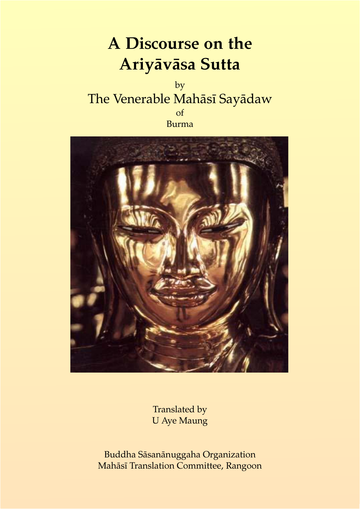# **A Discourse on the Ariyāvāsa Sutta**

by The Venerable Mahāsī Sayādaw of Burma



Translated by U Aye Maung

Buddha Sāsanānuggaha Organization Mahāsī Translation Committee, Rangoon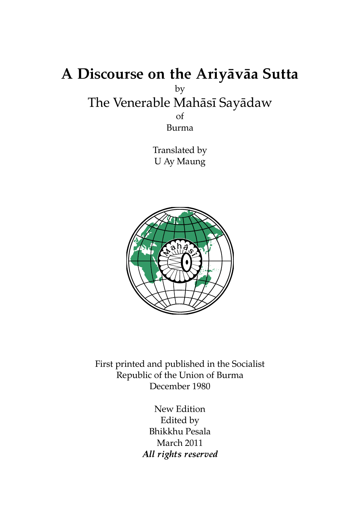### **A Discourse on the Ariyāvāa Sutta** by The Venerable Mahāsī Sayādaw of Burma

Translated by U Ay Maung



First printed and published in the Socialist Republic of the Union of Burma December 1980

> New Edition Edited by Bhikkhu Pesala March 2011 *All rights reserved*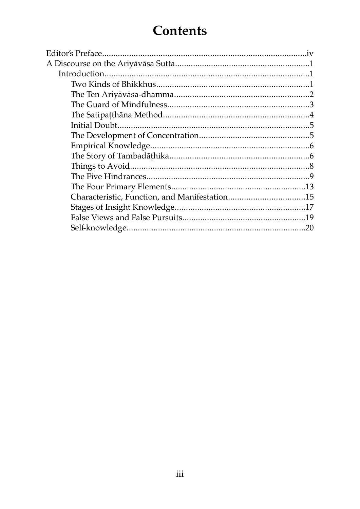### **Contents**

| 20 |
|----|
|    |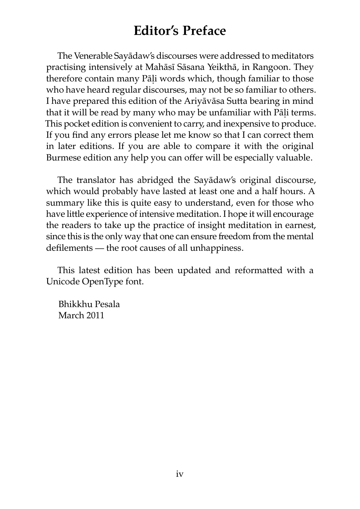### **Editor's Preface**

The Venerable Sayādaw's discourses were addressed to meditators practising intensively at Mahāsī Sāsana Yeikthā, in Rangoon. They therefore contain many Pāḷi words which, though familiar to those who have heard regular discourses, may not be so familiar to others. I have prepared this edition of the Ariyāvāsa Sutta bearing in mind that it will be read by many who may be unfamiliar with Pāli terms. This pocket edition is convenient to carry, and inexpensive to produce. If you find any errors please let me know so that I can correct them in later editions. If you are able to compare it with the original Burmese edition any help you can offer will be especially valuable.

The translator has abridged the Sayādaw's original discourse, which would probably have lasted at least one and a half hours. A summary like this is quite easy to understand, even for those who have little experience of intensive meditation. I hope it will encourage the readers to take up the practice of insight meditation in earnest, since this is the only way that one can ensure freedom from the mental defilements — the root causes of all unhappiness.

This latest edition has been updated and reformatted with a Unicode OpenType font.

Bhikkhu Pesala March 2011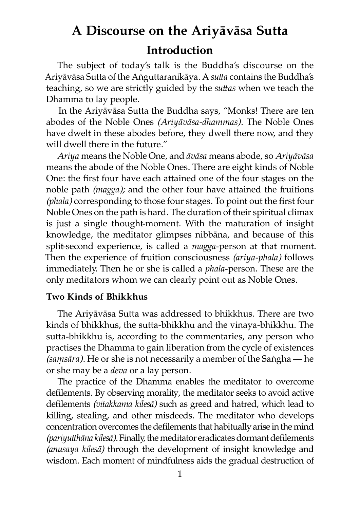## **A Discourse on the Ariyāvāsa Sutta Introduction**

The subject of today's talk is the Buddha's discourse on the Ariyāvāsa Sutta of the Aṅguttaranikāya. A *sutta* contains the Buddha's teaching, so we are strictly guided by the *suttas* when we teach the Dhamma to lay people.

In the Ariyāvāsa Sutta the Buddha says, "Monks! There are ten abodes of the Noble Ones *(Ariyāvāsa-dhammas).* The Noble Ones have dwelt in these abodes before, they dwell there now, and they will dwell there in the future."

*Ariya* means the Noble One, and *āvāsa* means abode, so *Ariyāvāsa* means the abode of the Noble Ones. There are eight kinds of Noble One: the first four have each attained one of the four stages on the noble path *(magga);* and the other four have attained the fruitions *(phala)* corresponding to those four stages. To point out the first four Noble Ones on the path is hard. The duration of their spiritual climax is just a single thought-moment. With the maturation of insight knowledge, the meditator glimpses nibbāna, and because of this split-second experience, is called a *magga*-person at that moment. Then the experience of fruition consciousness *(ariya-phala)* follows immediately. Then he or she is called a *phala*-person. These are the only meditators whom we can clearly point out as Noble Ones.

#### **Two Kinds of Bhikkhus**

The Ariyāvāsa Sutta was addressed to bhikkhus. There are two kinds of bhikkhus, the sutta-bhikkhu and the vinaya-bhikkhu. The sutta-bhikkhu is, according to the commentaries, any person who practises the Dhamma to gain liberation from the cycle of existences *(saṃsāra).* He or she is not necessarily a member of the Saṅgha — he or she may be a *deva* or a lay person.

The practice of the Dhamma enables the meditator to overcome defilements. By observing morality, the meditator seeks to avoid active defilements (vitakkama kilesā) such as greed and hatred, which lead to killing, stealing, and other misdeeds. The meditator who develops concentration overcomes the defilements that habitually arise in the mind *(pariyuhāna kilesā).* Finally, the meditator eradicates dormant defilements *(anusaya kilesā)* through the development of insight knowledge and wisdom. Each moment of mindfulness aids the gradual destruction of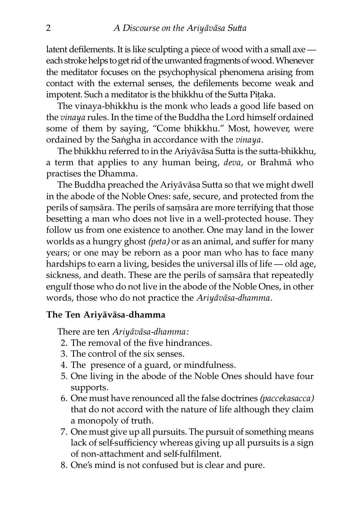latent defilements. It is like sculpting a piece of wood with a small axe each stroke helps to get rid of the unwanted fragments of wood. Whenever the meditator focuses on the psychophysical phenomena arising from contact with the external senses, the defilements become weak and impotent. Such a meditator is the bhikkhu of the Sutta Pitaka.

The vinaya-bhikkhu is the monk who leads a good life based on the *vinaya* rules. In the time of the Buddha the Lord himself ordained some of them by saying, "Come bhikkhu." Most, however, were ordained by the Saṅgha in accordance with the *vinaya.*

The bhikkhu referred to in the Ariyāvāsa Sutta is the sutta-bhikkhu, a term that applies to any human being, *deva,* or Brahmā who practises the Dhamma.

The Buddha preached the Ariyāvāsa Sutta so that we might dwell in the abode of the Noble Ones: safe, secure, and protected from the perils of samsāra. The perils of samsāra are more terrifying that those besetting a man who does not live in a well-protected house. They follow us from one existence to another. One may land in the lower worlds as a hungry ghost *(peta)* or as an animal, and suffer for many years; or one may be reborn as a poor man who has to face many hardships to earn a living, besides the universal ills of life — old age, sickness, and death. These are the perils of samsāra that repeatedly engulf those who do not live in the abode of the Noble Ones, in other words, those who do not practice the *Ariyāvāsa-dhamma.*

#### **The Ten Ariyāvāsa-dhamma**

There are ten *Ariyāvāsa-dhamma:*

- 2. The removal of the five hindrances.
- 3. The control of the six senses.
- 4. The presence of a guard, or mindfulness.
- 5. One living in the abode of the Noble Ones should have four supports.
- 6. One must have renounced all the false docines *(paccekasacca)* that do not accord with the nature of life although they claim a monopoly of truth.
- 7. One must give up all pursuits. The pursuit of something means lack of self-sufficiency whereas giving up all pursuits is a sign of non-attachment and self-fulfilment.
- 8. One's mind is not confused but is clear and pure.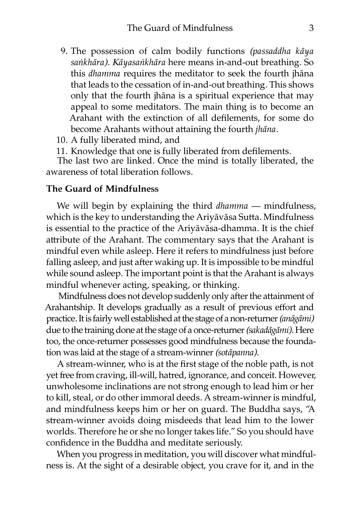- 9. The possession of calm bodily functions *(passaddha kāya saṅkhāra). Kāyasaṅkhāra* here means in-and-out breathing. So this *dhamma* requires the meditator to seek the fourth jhāna that leads to the cessation of in-and-out breathing. This shows only that the fourth jhāna is a spiritual experience that may appeal to some meditators. The main thing is to become an Arahant with the extinction of all defilements, for some do become Arahants without attaining the fourth *jhāna*.
- 10. A fully liberated mind, and
- 11. Knowledge that one is fully liberated from defilements.

The last two are linked. Once the mind is totally liberated, the awareness of total liberation follows.

#### **The Guard of Mindfulness**

We will begin by explaining the third *dhamma* — mindfulness, which is the key to understanding the Ariyāvāsa Sutta. Mindfulness is essential to the practice of the Ariyāvāsa-dhamma. It is the chief attribute of the Arahant. The commentary says that the Arahant is mindful even while asleep. Here it refers to mindfulness just before falling asleep, and just after waking up. It is impossible to be mindful while sound asleep. The important point is that the Arahant is always mindful whenever acting, speaking, or thinking.

Mindfulness does not develop suddenly only after the attainment of Arahantship. It develops gradually as a result of previous effort and practice. It is fairly well established at the stage of a non-returner*(anāgāmi)* due to the training done at the stage of a once-returner *(sakadāgāmi)*. Here too, the once-returner possesses good mindfulness because the foundation was laid at the stage of a stream-winner *(sotāpanna)*.

A stream-winner, who is at the first stage of the noble path, is not yet free from craving, ill-will, hatred, ignorance, and conceit. However, unwholesome inclinations are not strong enough to lead him or her to kill, steal, or do other immoral deeds. A stream-winner is mindful, and mindfulness keeps him or her on guard. The Buddha says, "A stream-winner avoids doing misdeeds that lead him to the lower worlds. Therefore he or she no longer takes life." So you should have confidence in the Buddha and meditate seriously.

When you progress in meditation, you will discover what mindfulness is. At the sight of a desirable object, you crave for it, and in the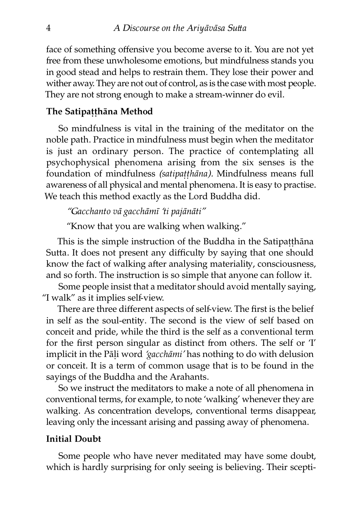face of something offensive you become averse to it. You are not yet free from these unwholesome emotions, but mindfulness stands you in good stead and helps to restrain them. They lose their power and wither away. They are not out of control, as is the case with most people. They are not strong enough to make a stream-winner do evil.

#### **The Satipaṭṭhāna Method**

So mindfulness is vital in the training of the meditator on the noble path. Practice in mindfulness must begin when the meditator is just an ordinary person. The practice of contemplating all psychophysical phenomena arising from the six senses is the foundation of mindfulness *(satipaṭṭhāna).* Mindfulness means full awareness of all physical and mental phenomena. It is easy to practise. We teach this method exactly as the Lord Buddha did.

*"Gacchanto vā gacchāmī 'ti pajānāti"*

"Know that you are walking when walking."

This is the simple instruction of the Buddha in the Satipatthāna Sutta. It does not present any difficulty by saying that one should know the fact of walking after analysing materiality, consciousness, and so forth. The instruction is so simple that anyone can follow it.

Some people insist that a meditator should avoid mentally saying, "I walk" as it implies self-view.

There are three different aspects of self-view. The first is the belief in self as the soul-entity. The second is the view of self based on conceit and pride, while the third is the self as a conventional term for the first person singular as distinct from others. The self or  $T$ implicit in the Pāḷi word *'gacchāmi'* has nothing to do with delusion or conceit. It is a term of common usage that is to be found in the sayings of the Buddha and the Arahants.

So we instruct the meditators to make a note of all phenomena in conventional terms, for example, to note 'walking' whenever they are walking. As concentration develops, conventional terms disappear, leaving only the incessant arising and passing away of phenomena.

#### **Initial Doubt**

Some people who have never meditated may have some doubt, which is hardly surprising for only seeing is believing. Their scepti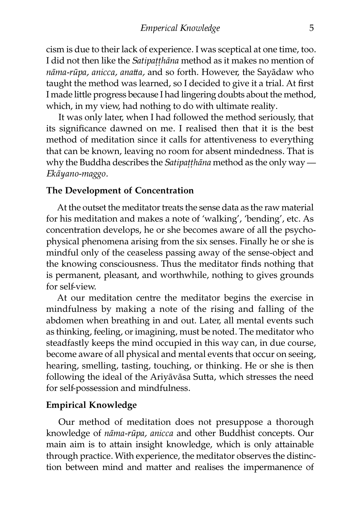cism is due to their lack of experience. I was sceptical at one time, too. I did not then like the *Satipaṭṭhāna* method as it makes no mention of *nāma-rūpa, anicca, anaa,* and so forth. However, the Sayādaw who taught the method was learned, so I decided to give it a trial. At first I made little progress because I had lingering doubts about the method, which, in my view, had nothing to do with ultimate reality.

It was only later, when I had followed the method seriously, that its significance dawned on me. I realised then that it is the best method of meditation since it calls for attentiveness to everything that can be known, leaving no room for absent mindedness. That is why the Buddha describes the *Satipaṭṭhāna* method as the only way — *Ekāyano-maggo.*

#### **The Development of Concentration**

At the outset the meditator treats the sense data as the raw material for his meditation and makes a note of 'walking', 'bending', etc. As concentration develops, he or she becomes aware of all the psychophysical phenomena arising from the six senses. Finally he or she is mindful only of the ceaseless passing away of the sense-object and the knowing consciousness. Thus the meditator finds nothing that is permanent, pleasant, and worthwhile, nothing to gives grounds for self-view.

At our meditation centre the meditator begins the exercise in mindfulness by making a note of the rising and falling of the abdomen when breathing in and out. Later, all mental events such as thinking, feeling, or imagining, must be noted. The meditator who steadfastly keeps the mind occupied in this way can, in due course, become aware of all physical and mental events that occur on seeing, hearing, smelling, tasting, touching, or thinking. He or she is then following the ideal of the Ariyāvāsa Sutta, which stresses the need for self-possession and mindfulness.

#### **Empirical Knowledge**

Our method of meditation does not presuppose a thorough knowledge of *nāma-rūpa, anicca* and other Buddhist concepts. Our main aim is to attain insight knowledge, which is only attainable through practice. With experience, the meditator observes the distinction between mind and matter and realises the impermanence of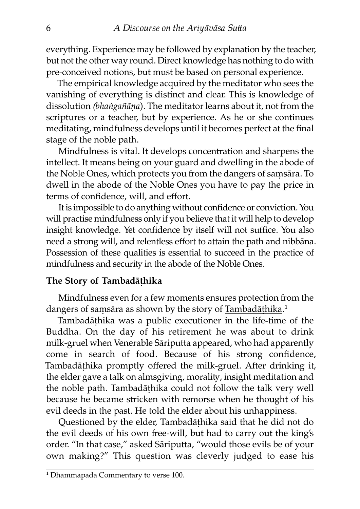everything. Experience may be followed by explanation by the teacher, but not the other way round. Direct knowledge has nothing to do with pre-conceived notions, but must be based on personal experience.

The empirical knowledge acquired by the meditator who sees the vanishing of everything is distinct and clear. This is knowledge of dissolution *(bhaṅgañāna)*. The meditator learns about it, not from the scriptures or a teacher, but by experience. As he or she continues meditating, mindfulness develops until it becomes perfect at the final stage of the noble path.

Mindfulness is vital. It develops concentration and sharpens the intellect. It means being on your guard and dwelling in the abode of the Noble Ones, which protects you from the dangers of samsāra. To dwell in the abode of the Noble Ones you have to pay the price in terms of confidence, will, and effort.

It is impossible to do anything without confidence or conviction. You will practise mindfulness only if you believe that it will help to develop insight knowledge. Yet confidence by itself will not suffice. You also need a strong will, and relentless effort to attain the path and nibbāna. Possession of these qualities is essential to succeed in the practice of mindfulness and security in the abode of the Noble Ones.

#### **The Story of Tambadāṭhika**

Mindfulness even for a few moments ensures protection from the dangers of samsāra as shown by the story of Tambadāthika.<sup>1</sup>

Tambadāṭhika was a public executioner in the life-time of the Buddha. On the day of his retirement he was about to drink milk-gruel when Venerable Sāriputta appeared, who had apparently come in search of food. Because of his strong confidence, Tambadāthika promptly offered the milk-gruel. After drinking it, the elder gave a talk on almsgiving, morality, insight meditation and the noble path. Tambadāṭhika could not follow the talk very well because he became stricken with remorse when he thought of his evil deeds in the past. He told the elder about his unhappiness.

Questioned by the elder, Tambadāthika said that he did not do the evil deeds of his own free-will, but had to carry out the king's order. "In that case," asked Sāriputta, "would those evils be of your own making?" This question was cleverly judged to ease his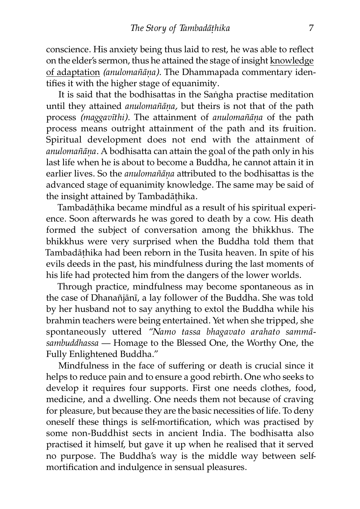conscience. His anxiety being thus laid to rest, he was able to reflect on the elder's sermon, thus he attained the stage of insight knowledge of adaptation *(anulomañāṇa).* The Dhammapada commentary identifies it with the higher stage of equanimity.

It is said that the bodhisattas in the Saṅgha practise meditation until they attained *anulomañāna*, but theirs is not that of the path process *(maggavīthi)*. The attainment of *anulomañāna* of the path process means outright attainment of the path and its fruition. Spiritual development does not end with the attainment of *anulomañāna*. A bodhisatta can attain the goal of the path only in his last life when he is about to become a Buddha, he cannot attain it in earlier lives. So the *anulomañāna* attributed to the bodhisattas is the advanced stage of equanimity knowledge. The same may be said of the insight attained by Tambadāthika.

Tambadāṭhika became mindful as a result of his spiritual experience. Soon afterwards he was gored to death by a cow. His death formed the subject of conversation among the bhikkhus. The bhikkhus were very surprised when the Buddha told them that Tambadāṭhika had been reborn in the Tusita heaven. In spite of his evils deeds in the past, his mindfulness during the last moments of his life had protected him from the dangers of the lower worlds.

Through practice, mindfulness may become spontaneous as in the case of Dhanañjānī, a lay follower of the Buddha. She was told by her husband not to say anything to extol the Buddha while his brahmin teachers were being entertained. Yet when she tripped, she spontaneously uttered "Namo tassa bhagavato arahato sammā*sambuddhassa —* Homage to the Blessed One, the Worthy One, the Fully Enlightened Buddha."

Mindfulness in the face of suffering or death is crucial since it helps to reduce pain and to ensure a good rebirth. One who seeks to develop it requires four supports. First one needs clothes, food, medicine, and a dwelling. One needs them not because of craving for pleasure, but because they are the basic necessities of life. To deny oneself these things is self-mortification, which was practised by some non-Buddhist sects in ancient India. The bodhisatta also practised it himself, but gave it up when he realised that it served no purpose. The Buddha's way is the middle way between selfmortification and indulgence in sensual pleasures.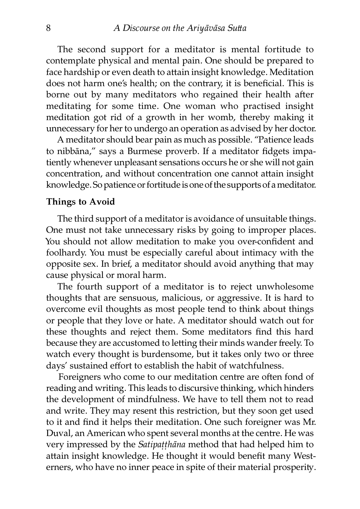The second support for a meditator is mental fortitude to contemplate physical and mental pain. One should be prepared to face hardship or even death to attain insight knowledge. Meditation does not harm one's health; on the contrary, it is beneficial. This is borne out by many meditators who regained their health after meditating for some time. One woman who practised insight meditation got rid of a growth in her womb, thereby making it unnecessary for her to undergo an operation as advised by her doctor.

A meditator should bear pain as much as possible. "Patience leads to nibbāna," says a Burmese proverb. If a meditator fidgets impatiently whenever unpleasant sensations occurs he or she will not gain concentration, and without concentration one cannot attain insight knowledge. So patience or fortitude is one of the supports of a meditator.

#### **Things to Avoid**

The third support of a meditator is avoidance of unsuitable things. One must not take unnecessary risks by going to improper places. You should not allow meditation to make you over-confident and foolhardy. You must be especially careful about intimacy with the opposite sex. In brief, a meditator should avoid anything that may cause physical or moral harm.

The fourth support of a meditator is to reject unwholesome thoughts that are sensuous, malicious, or aggressive. It is hard to overcome evil thoughts as most people tend to think about things or people that they love or hate. A meditator should watch out for these thoughts and reject them. Some meditators find this hard because they are accustomed to letting their minds wander freely. To watch every thought is burdensome, but it takes only two or three days' sustained effort to establish the habit of watchfulness.

Foreigners who come to our meditation centre are often fond of reading and writing. This leads to discursive thinking, which hinders the development of mindfulness. We have to tell them not to read and write. They may resent this restriction, but they soon get used to it and find it helps their meditation. One such foreigner was Mr. Duval, an American who spent several months at the centre. He was very impressed by the *Satipaṭṭhāna* method that had helped him to attain insight knowledge. He thought it would benefit many Westerners, who have no inner peace in spite of their material prosperity.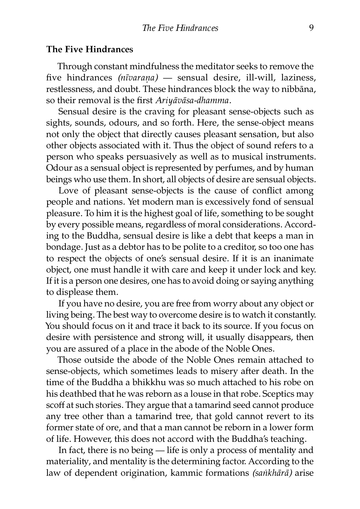#### **The Five Hindrances**

Through constant mindfulness the meditator seeks to remove the five hindrances *(nīvaraṇa)* — sensual desire, ill-will, laziness, restlessness, and doubt. These hindrances block the way to nibbāna, so their removal is the first *Ariyāvāsa-dhamma.*

Sensual desire is the craving for pleasant sense-objects such as sights, sounds, odours, and so forth. Here, the sense-object means not only the object that directly causes pleasant sensation, but also other objects associated with it. Thus the object of sound refers to a person who speaks persuasively as well as to musical instruments. Odour as a sensual object is represented by perfumes, and by human beings who use them. In short, all objects of desire are sensual objects.

Love of pleasant sense-objects is the cause of conflict among people and nations. Yet modern man is excessively fond of sensual pleasure. To him it is the highest goal of life, something to be sought by every possible means, regardless of moral considerations. According to the Buddha, sensual desire is like a debt that keeps a man in bondage. Just as a debtor has to be polite to a creditor, so too one has to respect the objects of one's sensual desire. If it is an inanimate object, one must handle it with care and keep it under lock and key. If it is a person one desires, one has to avoid doing or saying anything to displease them.

If you have no desire, you are free from worry about any object or living being. The best way to overcome desire is to watch it constantly. You should focus on it and trace it back to its source. If you focus on desire with persistence and strong will, it usually disappears, then you are assured of a place in the abode of the Noble Ones.

Those outside the abode of the Noble Ones remain attached to sense-objects, which sometimes leads to misery after death. In the time of the Buddha a bhikkhu was so much attached to his robe on his deathbed that he was reborn as a louse in that robe. Sceptics may scoff at such stories. They argue that a tamarind seed cannot produce any tree other than a tamarind tree, that gold cannot revert to its former state of ore, and that a man cannot be reborn in a lower form of life. However, this does not accord with the Buddha's teaching.

In fact, there is no being  $-$  life is only a process of mentality and materiality, and mentality is the determining factor. According to the law of dependent origination, kammic formations *(saṅkhārā)* arise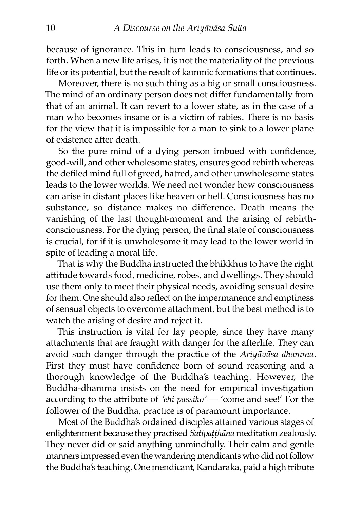because of ignorance. This in turn leads to consciousness, and so forth. When a new life arises, it is not the materiality of the previous life or its potential, but the result of kammic formations that continues.

Moreover, there is no such thing as a big or small consciousness. The mind of an ordinary person does not differ fundamentally from that of an animal. It can revert to a lower state, as in the case of a man who becomes insane or is a victim of rabies. There is no basis for the view that it is impossible for a man to sink to a lower plane of existence after death.

So the pure mind of a dying person imbued with confidence, good-will, and other wholesome states, ensures good rebirth whereas the defiled mind full of greed, hatred, and other unwholesome states leads to the lower worlds. We need not wonder how consciousness can arise in distant places like heaven or hell. Consciousness has no substance, so distance makes no difference. Death means the vanishing of the last thought-moment and the arising of rebirthconsciousness. For the dying person, the final state of consciousness is crucial, for if it is unwholesome it may lead to the lower world in spite of leading a moral life.

That is why the Buddha instructed the bhikkhus to have the right attitude towards food, medicine, robes, and dwellings. They should use them only to meet their physical needs, avoiding sensual desire for them. One should also reflect on the impermanence and emptiness of sensual objects to overcome attachment, but the best method is to watch the arising of desire and reject it.

This instruction is vital for lay people, since they have many attachments that are fraught with danger for the afterlife. They can avoid such danger through the practice of the *Ariyāvāsa dhamma.* First they must have confidence born of sound reasoning and a thorough knowledge of the Buddha's teaching. However, the Buddha-dhamma insists on the need for empirical investigation according to the attribute of *'ehi passiko'* — 'come and see!' For the follower of the Buddha, practice is of paramount importance.

Most of the Buddha's ordained disciples attained various stages of enlightenment because they practised *Satipaṭṭhāna* meditation zealously. They never did or said anything unmindfully. Their calm and gentle manners impressed even the wandering mendicants who did not follow the Buddha's teaching. One mendicant, Kandaraka, paid a high tribute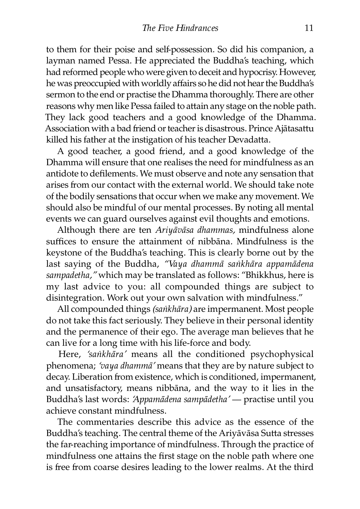to them for their poise and self-possession. So did his companion, a layman named Pessa. He appreciated the Buddha's teaching, which had reformed people who were given to deceit and hypocrisy. However, he was preoccupied with worldly affairs so he did not hear the Buddha's sermon to the end or practise the Dhamma thoroughly. There are other reasons why men like Pessa failed to attain any stage on the noble path. They lack good teachers and a good knowledge of the Dhamma. Association with a bad friend or teacher is disastrous. Prince Ajātasattu killed his father at the instigation of his teacher Devadatta.

A good teacher, a good friend, and a good knowledge of the Dhamma will ensure that one realises the need for mindfulness as an antidote to defilements. We must observe and note any sensation that arises from our contact with the external world. We should take note of the bodily sensations that occur when we make any movement. We should also be mindful of our mental processes. By noting all mental events we can guard ourselves against evil thoughts and emotions.

Although there are ten *Ariyāvāsa dhammas,* mindfulness alone suffices to ensure the attainment of nibbāna. Mindfulness is the keystone of the Buddha's teaching. This is clearly borne out by the last saying of the Buddha, *"Vaya dhammā saṅkhāra appamādena* sampadetha," which may be translated as follows: "Bhikkhus, here is my last advice to you: all compounded things are subject to disintegration. Work out your own salvation with mindfulness."

All compounded things *(saṅkhāra)* are impermanent. Most people do not take this fact seriously. They believe in their personal identi and the permanence of their ego. The average man believes that he can live for a long time with his life-force and body.

Here, *'saṅkhāra'* means all the conditioned psychophysical phenomena; *'vaya dhammā'* means that they are by nature subject to decay. Liberation from existence, which is conditioned, impermanent, and unsatisfactory, means nibbāna, and the way to it lies in the Buddha's last words: *'Appamādena sampādetha'* — practise until you achieve constant mindfulness

The commentaries describe this advice as the essence of the Buddha's teaching. The central theme of the Ariyāvāsa Sutta stresses the far-reaching importance of mindfulness. Through the practice of mindfulness one attains the first stage on the noble path where one is free from coarse desires leading to the lower realms. At the third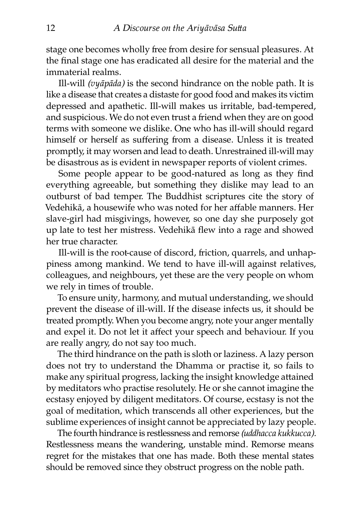stage one becomes wholly free from desire for sensual pleasures. At the final stage one has eradicated all desire for the material and the immaterial realms.

Ill-will *(vyāpāda)* is the second hindrance on the noble path. It is like a disease that creates a distaste for good food and makes its victim depressed and apathetic. Ill-will makes us irritable, bad-tempered, and suspicious. We do not even trust a friend when they are on good terms with someone we dislike. One who has ill-will should regard himself or herself as suffering from a disease. Unless it is treated promptly, it may worsen and lead to death. Unrestrained ill-will may be disastrous as is evident in newspaper reports of violent crimes.

Some people appear to be good-natured as long as they find everything agreeable, but something they dislike may lead to an outburst of bad temper. The Buddhist scriptures cite the story of Vedehikā, a housewife who was noted for her affable manners. Her slave-girl had misgivings, however, so one day she purposely got up late to test her mistress. Vedehikā flew into a rage and showed her true character.

Ill-will is the root-cause of discord, friction, quarrels, and unhappiness among mankind. We tend to have ill-will against relatives, colleagues, and neighbours, yet these are the very people on whom we rely in times of trouble.

To ensure unity, harmony, and mutual understanding, we should prevent the disease of ill-will. If the disease infects us, it should be treated promptly. When you become angry, note your anger mentally and expel it. Do not let it affect your speech and behaviour. If you are really angry, do not say too much.

The third hindrance on the path is sloth or laziness. A lazy person does not try to understand the Dhamma or practise it, so fails to make any spiritual progress, lacking the insight knowledge attained by meditators who practise resolutely. He or she cannot imagine the ecstasy enjoyed by diligent meditators. Of course, ecstasy is not the goal of meditation, which transcends all other experiences, but the sublime experiences of insight cannot be appreciated by lazy people.

The fourth hindrance is restlessness and remorse *(uddhacca kukkucca).* Restlessness means the wandering, unstable mind. Remorse means regret for the mistakes that one has made. Both these mental states should be removed since they obstruct progress on the noble path.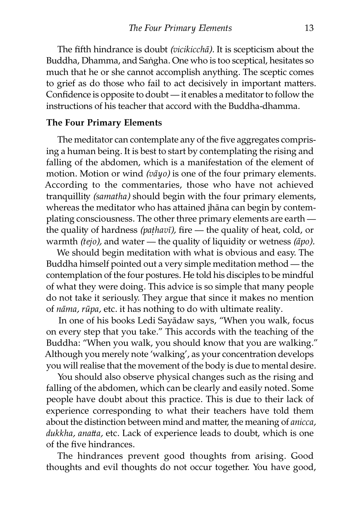The fifth hindrance is doubt *(vicikicchā)*. It is scepticism about the Buddha, Dhamma, and Saṅgha. One who is too sceptical, hesitates so much that he or she cannot accomplish anything. The sceptic comes to grief as do those who fail to act decisively in important matters. Confidence is opposite to doubt — it enables a meditator to follow the instructions of his teacher that accord with the Buddha-dhamma.

#### **The Four Primary Elements**

The meditator can contemplate any of the five aggregates comprising a human being. It is best to start by contemplating the rising and falling of the abdomen, which is a manifestation of the element of motion. Motion or wind *(vāyo)* is one of the four primary elements. According to the commentaries, those who have not achieved tranquillity *(samatha)* should begin with the four primary elements, whereas the meditator who has attained jhāna can begin by contemplating consciousness. The other three primary elements are earth the quality of hardness (pathavī), fire - the quality of heat, cold, or warmth *(tejo)*, and water — the quality of liquidity or wetness *(āpo)*.

We should begin meditation with what is obvious and easy. The Buddha himself pointed out a very simple meditation method — the contemplation of the four postures. He told his disciples to be mindful of what they were doing. This advice is so simple that many people do not take it seriously. They argue that since it makes no mention of *nāma, rūpa,* etc. it has nothing to do with ultimate reality.

In one of his books Ledi Sayādaw says, "When you walk, focus on every step that you take." This accords with the teaching of the Buddha: "When you walk, you should know that you are walking." Although you merely note 'walking', as your concentration develops you will realise that the movement of the body is due to mental desire.

You should also observe physical changes such as the rising and falling of the abdomen, which can be clearly and easily noted. Some people have doubt about this practice. This is due to their lack of experience corresponding to what their teachers have told them about the distinction between mind and matter, the meaning of *anicca*, dukkha, anatta, etc. Lack of experience leads to doubt, which is one of the five hindrances.

The hindrances prevent good thoughts from arising. Good thoughts and evil thoughts do not occur together. You have good,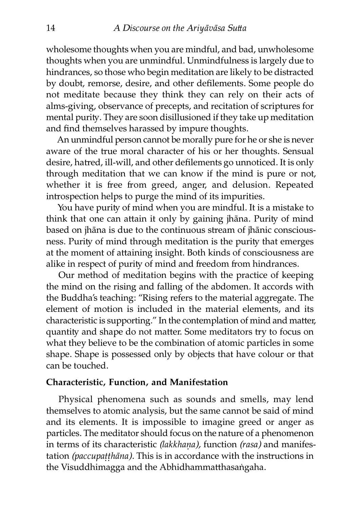wholesome thoughts when you are mindful, and bad, unwholesome thoughts when you are unmindful. Unmindfulness is largely due to hindrances, so those who begin meditation are likely to be distracted by doubt, remorse, desire, and other defilements. Some people do not meditate because they think they can rely on their acts of alms-giving, observance of precepts, and recitation of scriptures for mental purity. They are soon disillusioned if they take up meditation and find themselves harassed by impure thoughts.

An unmindful person cannot be morally pure for he or she is never aware of the true moral character of his or her thoughts. Sensual desire, hatred, ill-will, and other defilements go unnoticed. It is only through meditation that we can know if the mind is pure or not, whether it is free from greed, anger, and delusion. Repeated introspection helps to purge the mind of its impurities.

You have purity of mind when you are mindful. It is a mistake to think that one can attain it only by gaining jhāna. Purity of mind based on jhāna is due to the continuous stream of jhānic consciousness. Purity of mind through meditation is the purity that emerges at the moment of attaining insight. Both kinds of consciousness are alike in respect of purity of mind and freedom from hindrances.

Our method of meditation begins with the practice of keeping the mind on the rising and falling of the abdomen. It accords with the Buddha's teaching: "Rising refers to the material aggregate. The element of motion is included in the material elements, and its characteristic is supporting." In the contemplation of mind and matter, quantity and shape do not matter. Some meditators try to focus on what they believe to be the combination of atomic particles in some shape. Shape is possessed only by objects that have colour or that can be touched.

#### **Characteristic, Function, and Manifestation**

Physical phenomena such as sounds and smells, may lend themselves to atomic analysis, but the same cannot be said of mind and its elements. It is impossible to imagine greed or anger as particles. The meditator should focus on the nature of a phenomenon in terms of its characteristic *(lakkhaṇa),* function *(rasa)* and manifestation *(paccupatthāna)*. This is in accordance with the instructions in the Visuddhimagga and the Abhidhammatthasaṅgaha.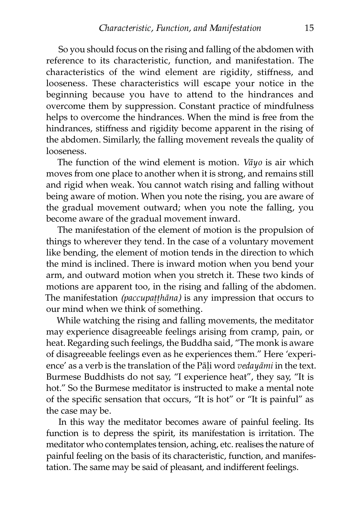So you should focus on the rising and falling of the abdomen with reference to its characteristic, function, and manifestation. The characteristics of the wind element are rigidity, stiffness, and looseness. These characteristics will escape your notice in the beginning because you have to attend to the hindrances and overcome them by suppression. Constant practice of mindfulness helps to overcome the hindrances. When the mind is free from the hindrances, stiffness and rigidity become apparent in the rising of the abdomen. Similarly, the falling movement reveals the quality of looseness.

The function of the wind element is motion. *Vāyo* is air which moves from one place to another when it is strong, and remains still and rigid when weak. You cannot watch rising and falling without being aware of motion. When you note the rising, you are aware of the gradual movement outward; when you note the falling, you become aware of the gradual movement inward.

The manifestation of the element of motion is the propulsion of things to wherever they tend. In the case of a voluntary movement like bending, the element of motion tends in the direction to which the mind is inclined. There is inward motion when you bend your arm, and outward motion when you stretch it. These two kinds of motions are apparent too, in the rising and falling of the abdomen. The manifestation *(paccupaṭṭhāna)* is any impression that occurs to our mind when we think of something.

While watching the rising and falling movements, the meditator may experience disagreeable feelings arising from cramp, pain, or heat. Regarding such feelings, the Buddha said, "The monk is aware of disagreeable feelings even as he experiences them." Here 'experience' as a verb is the translation of the Pāli word *vedayāmi* in the text. Burmese Buddhists do not say, "I experience heat", they say, "It is hot." So the Burmese meditator is instructed to make a mental note of the specific sensation that occurs, "It is hot" or "It is painful" as the case may be.

In this way the meditator becomes aware of painful feeling. Its function is to depress the spirit, its manifestation is irritation. The meditator who contemplates tension, aching, etc. realises the nature of painful feeling on the basis of its characteristic, function, and manifestation. The same may be said of pleasant, and indifferent feelings.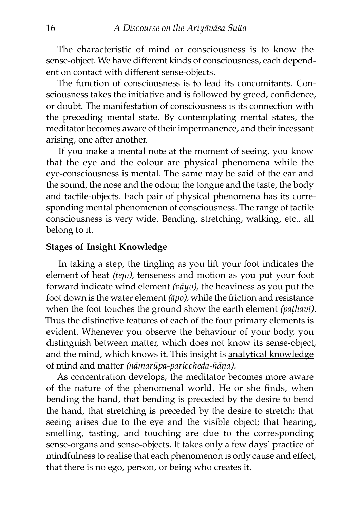The characteristic of mind or consciousness is to know the sense-object. We have different kinds of consciousness, each dependent on contact with different sense-objects.

The function of consciousness is to lead its concomitants. Consciousness takes the initiative and is followed by greed, confidence, or doubt. The manifestation of consciousness is its connection with the preceding mental state. By contemplating mental states, the meditator becomes aware of their impermanence, and their incessant arising, one after another.

If you make a mental note at the moment of seeing, you know that the eye and the colour are physical phenomena while the eye-consciousness is mental. The same may be said of the ear and the sound, the nose and the odour, the tongue and the taste, the body and tactile-objects. Each pair of physical phenomena has its corresponding mental phenomenon of consciousness. The range of tactile consciousness is very wide. Bending, stretching, walking, etc., all belong to it.

#### **Stages of Insight Knowledge**

In taking a step, the tingling as you lift your foot indicates the element of heat *(tejo),* tenseness and motion as you put your foot forward indicate wind element *(vāyo),* the heaviness as you put the foot down is the water element *(āpo)*, while the friction and resistance when the foot touches the ground show the earth element *(paṭhavī).* Thus the distinctive features of each of the four primary elements is evident. Whenever you observe the behaviour of your body, you distinguish between matter, which does not know its sense-object, [and the mind, which knows it. This insight is](http://www.aimwell.org/Books/Mahasi/Progress/progress.html#Analytical) analytical knowledge of mind and matter *(nāmarūpa-pariccheda-ñāna)*.

As concentration develops, the meditator becomes more aware of the nature of the phenomenal world. He or she finds, when bending the hand, that bending is preceded by the desire to bend the hand, that stretching is preceded by the desire to stretch; that seeing arises due to the eye and the visible object; that hearing, smelling, tasting, and touching are due to the corresponding sense-organs and sense-objects. It takes only a few days' practice of mindfulness to realise that each phenomenon is only cause and effect, that there is no ego, person, or being who creates it.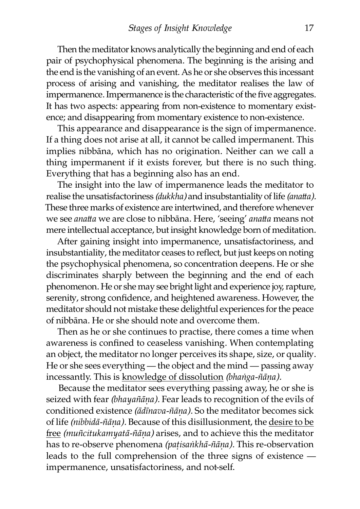Then the meditator knows analytically the beginning and end of each pair of psychophysical phenomena. The beginning is the arising and the end is the vanishing of an event. As he or she observes this incessant process of arising and vanishing, the meditator realises the law of impermanence. Impermanence is the characteristic of the five aggregates. It has two aspects: appearing from non-existence to momentary existence; and disappearing from momentary existence to non-existence.

This appearance and disappearance is the sign of impermanence. If a thing does not arise at all, it cannot be called impermanent. This implies nibbāna, which has no origination. Neither can we call a thing impermanent if it exists forever, but there is no such thing. Everything that has a beginning also has an end.

The insight into the law of impermanence leads the meditator to realise the unsatisfactoriness *(dukkha)* and insubstantiality of life *(anatta)*. These three marks of existence are intertwined, and therefore whenever we see *anatta* we are close to nibbana. Here, 'seeing' *anatta* means not mere intellectual acceptance, but insight knowledge born of meditation.

After gaining insight into impermanence, unsatisfactoriness, and insubstantiality, the meditator ceases to reflect, but just keeps on noting the psychophysical phenomena, so concentration deepens. He or she discriminates sharply between the beginning and the end of each phenomenon. He or she may see bright light and experience joy, rapture, serenity, strong confidence, and heightened awareness. However, the meditator should not mistake these delightful experiences for the peace of nibbāna. He or she should note and overcome them.

Then as he or she continues to practise, there comes a time when awareness is confined to ceaseless vanishing. When contemplating an object, the meditator no longer perceives its shape, size, or quality. He or she sees everything — the object and the mind — passing away incessantly. This is [knowledge of dissolution](http://www.aimwell.org/Books/Mahasi/Progress/progress.html#Dissolution) *(bhaṅga-ñāṇa).*

Because the meditator sees everything passing away, he or she is seized with fear *(bhayañāṇa).* Fear leads to recognition of the evils of conditioned existence *(ādīnava-ñāṇa).* So the meditator becomes sick of life *(nibbidā-ñāṇa).* Because of this disillusionment, the desire to be free *(muñcitukamyatā-ñāna)* [arises, and to achieve this the meditator](http://www.aimwell.org/Books/Mahasi/Progress/progress.html#Deliverance) has to re-observe phenomena *(paṭisaṅkhā-ñāṇa).* This re-observation leads to the full comprehension of the three signs of existence impermanence, unsatisfactoriness, and not-self.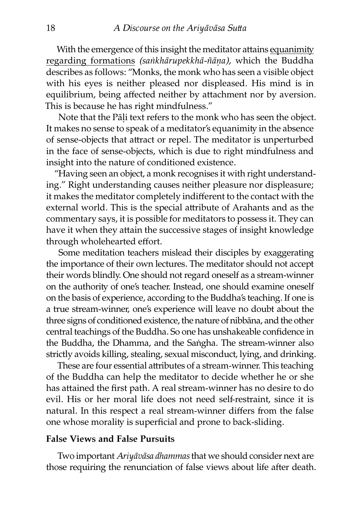With the emergence of this insight the meditator attains equanimity regarding formations *(saṅkhārupekkhā-ñāṇa),* which the Buddha describes as follows: "Monks, the monk who has seen a visible object with his eyes is neither pleased nor displeased. His mind is in equilibrium, being affected neither by attachment nor by aversion. This is because he has right mindfulness."

Note that the Pāḷi text refers to the monk who has seen the object. It makes no sense to speak of a meditator's equanimity in the absence of sense-objects that attract or repel. The meditator is unperturbed in the face of sense-objects, which is due to right mindfulness and insight into the nature of conditioned existence.

"Having seen an object, a monk recognises it with right understanding." Right understanding causes neither pleasure nor displeasure; it makes the meditator completely indifferent to the contact with the external world. This is the special attribute of Arahants and as the commentary says, it is possible for meditators to possess it. They can have it when they attain the successive stages of insight knowledge through wholehearted effort.

Some meditation teachers mislead their disciples by exaggerating the importance of their own lectures. The meditator should not accept their words blindly. One should not regard oneself as a stream-winner on the authority of one's teacher. Instead, one should examine oneself on the basis of experience, according to the Buddha's teaching. If one is a true stream-winner, one's experience will leave no doubt about the three signs of conditioned existence, the nature of nibbāna, and the other central teachings of the Buddha. So one has unshakeable confidence in the Buddha, the Dhamma, and the Saṅgha. The stream-winner also strictly avoids killing, stealing, sexual misconduct, lying, and drinking.

These are four essential attributes of a stream-winner. This teaching of the Buddha can help the meditator to decide whether he or she has attained the first path. A real stream-winner has no desire to do evil. His or her moral life does not need self-restraint, since it is natural. In this respect a real stream-winner differs from the false one whose morality is superficial and prone to back-sliding.

#### **False Views and False Pursuits**

Two important *Ariyāvāsa dhammas* that we should consider next are those requiring the renunciation of false views about life after death.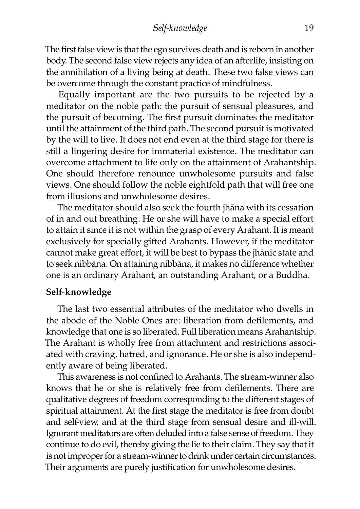#### *Self-knowledge* 19

The first false view is that the ego survives death and is reborn in another body. The second false view rejects any idea of an afterlife, insisting on the annihilation of a living being at death. These two false views can be overcome through the constant practice of mindfulness.

Equally important are the two pursuits to be rejected by a meditator on the noble path: the pursuit of sensual pleasures, and the pursuit of becoming. The first pursuit dominates the meditator until the attainment of the third path. The second pursuit is motivated by the will to live. It does not end even at the third stage for there is still a lingering desire for immaterial existence. The meditator can overcome attachment to life only on the attainment of Arahantship. One should therefore renounce unwholesome pursuits and false views. One should follow the noble eightfold path that will free one from illusions and unwholesome desires.

The meditator should also seek the fourth jhāna with its cessation of in and out breathing. He or she will have to make a special effort to attain it since it is not within the grasp of every Arahant. It is meant exclusively for specially gifted Arahants. However, if the meditator cannot make great effort, it will be best to bypass the jhānic state and to seek nibbāna. On attaining nibbāna, it makes no difference whether one is an ordinary Arahant, an outstanding Arahant, or a Buddha.

#### **Self-knowledge**

The last two essential attributes of the meditator who dwells in the abode of the Noble Ones are: liberation from defilements, and knowledge that one is so liberated. Full liberation means Arahantship. The Arahant is wholly free from attachment and restrictions associated with craving, hatred, and ignorance. He or she is also independently aware of being liberated.

This awareness is not confined to Arahants. The stream-winner also knows that he or she is relatively free from defilements. There are qualitative degrees of freedom corresponding to the different stages of spiritual attainment. At the first stage the meditator is free from doubt and self-view, and at the third stage from sensual desire and ill-will. Ignorant meditators are often deluded into a false sense of freedom. They continue to do evil, thereby giving the lie to their claim. They say that it is not improper for a stream-winner to drink under certain circumstances. Their arguments are purely justification for unwholesome desires.